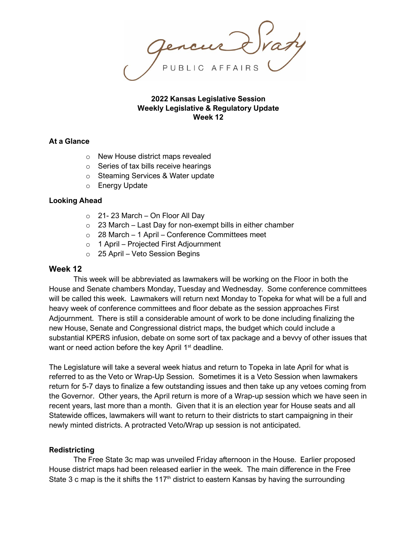## **2022 Kansas Legislative Session Weekly Legislative & Regulatory Update Week 12**

## **At a Glance**

- o New House district maps revealed
- o Series of tax bills receive hearings
- o Steaming Services & Water update
- o Energy Update

## **Looking Ahead**

- o 21- 23 March On Floor All Day
- $\circ$  23 March Last Day for non-exempt bills in either chamber
- $\circ$  28 March 1 April Conference Committees meet
- o 1 April Projected First Adjournment
- o 25 April Veto Session Begins

## **Week 12**

This week will be abbreviated as lawmakers will be working on the Floor in both the House and Senate chambers Monday, Tuesday and Wednesday. Some conference committees will be called this week. Lawmakers will return next Monday to Topeka for what will be a full and heavy week of conference committees and floor debate as the session approaches First Adjournment. There is still a considerable amount of work to be done including finalizing the new House, Senate and Congressional district maps, the budget which could include a substantial KPERS infusion, debate on some sort of tax package and a bevvy of other issues that want or need action before the key April 1<sup>st</sup> deadline.

The Legislature will take a several week hiatus and return to Topeka in late April for what is referred to as the Veto or Wrap-Up Session. Sometimes it is a Veto Session when lawmakers return for 5-7 days to finalize a few outstanding issues and then take up any vetoes coming from the Governor. Other years, the April return is more of a Wrap-up session which we have seen in recent years, last more than a month. Given that it is an election year for House seats and all Statewide offices, lawmakers will want to return to their districts to start campaigning in their newly minted districts. A protracted Veto/Wrap up session is not anticipated.

#### **Redistricting**

The Free State 3c map was unveiled Friday afternoon in the House. Earlier proposed House district maps had been released earlier in the week. The main difference in the Free State 3 c map is the it shifts the 117<sup>th</sup> district to eastern Kansas by having the surrounding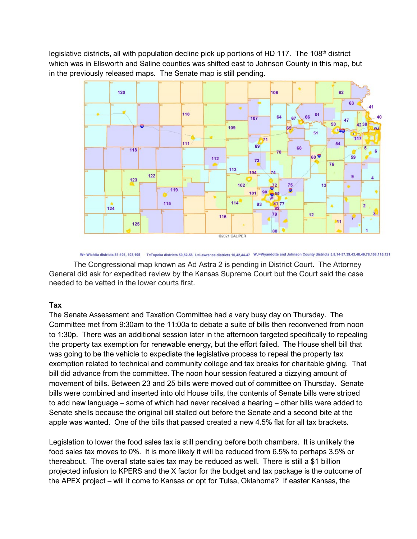legislative districts, all with population decline pick up portions of HD 117. The  $108<sup>th</sup>$  district which was in Ellsworth and Saline counties was shifted east to Johnson County in this map, but in the previously released maps. The Senate map is still pending.



W= Wichita districts 81-101, 103,105 T=Topeka districts 50,52-58 L=Lawrence districts 10,42,44-47 WJ=Wyandotte and Johnson County districts 5,8,14-37,39,43,48,49,78,108,115,121

The Congressional map known as Ad Astra 2 is pending in District Court. The Attorney General did ask for expedited review by the Kansas Supreme Court but the Court said the case needed to be vetted in the lower courts first.

# **Tax**

The Senate Assessment and Taxation Committee had a very busy day on Thursday. The Committee met from 9:30am to the 11:00a to debate a suite of bills then reconvened from noon to 1:30p. There was an additional session later in the afternoon targeted specifically to repealing the property tax exemption for renewable energy, but the effort failed. The House shell bill that was going to be the vehicle to expediate the legislative process to repeal the property tax exemption related to technical and community college and tax breaks for charitable giving. That bill did advance from the committee. The noon hour session featured a dizzying amount of movement of bills. Between 23 and 25 bills were moved out of committee on Thursday. Senate bills were combined and inserted into old House bills, the contents of Senate bills were striped to add new language – some of which had never received a hearing – other bills were added to Senate shells because the original bill stalled out before the Senate and a second bite at the apple was wanted. One of the bills that passed created a new 4.5% flat for all tax brackets.

Legislation to lower the food sales tax is still pending before both chambers. It is unlikely the food sales tax moves to 0%. It is more likely it will be reduced from 6.5% to perhaps 3.5% or thereabout. The overall state sales tax may be reduced as well. There is still a \$1 billion projected infusion to KPERS and the X factor for the budget and tax package is the outcome of the APEX project – will it come to Kansas or opt for Tulsa, Oklahoma? If easter Kansas, the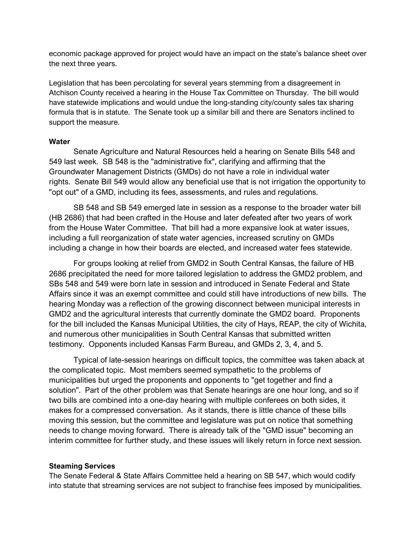economic package approved for project would have an impact on the state's balance sheet over the next three years.

Legislation that has been percolating for several years stemming from a disagreement in Atchison County received a hearing in the House Tax Committee on Thursday. The bill would have statewide implications and would undue the long-standing city/county sales tax sharing formula that is in statute. The Senate took up a similar bill and there are Senators inclined to support the measure.

# **Water**

Senate Agriculture and Natural Resources held a hearing on Senate Bills 548 and 549 last week. SB 548 is the "administrative fix", clarifying and affirming that the Groundwater Management Districts (GMDs) do not have a role in individual water rights. Senate Bill 549 would allow any beneficial use that is not irrigation the opportunity to "opt out" of a GMD, including its fees, assessments, and rules and regulations.

SB 548 and SB 549 emerged late in session as a response to the broader water bill (HB 2686) that had been crafted in the House and later defeated after two years of work from the House Water Committee. That bill had a more expansive look at water issues, including a full reorganization of state water agencies, increased scrutiny on GMDs including a change in how their boards are elected, and increased water fees statewide.

For groups looking at relief from GMD2 in South Central Kansas, the failure of HB 2686 precipitated the need for more tailored legislation to address the GMD2 problem, and SBs 548 and 549 were born late in session and introduced in Senate Federal and State Affairs since it was an exempt committee and could still have introductions of new bills. The hearing Monday was a reflection of the growing disconnect between municipal interests in GMD2 and the agricultural interests that currently dominate the GMD2 board. Proponents for the bill included the Kansas Municipal Utilities, the city of Hays, REAP, the city of Wichita, and numerous other municipalities in South Central Kansas that submitted written testimony. Opponents included Kansas Farm Bureau, and GMDs 2, 3, 4, and 5.

Typical of late-session hearings on difficult topics, the committee was taken aback at the complicated topic. Most members seemed sympathetic to the problems of municipalities but urged the proponents and opponents to "get together and find a solution". Part of the other problem was that Senate hearings are one hour long, and so if two bills are combined into a one-day hearing with multiple conferees on both sides, it makes for a compressed conversation. As it stands, there is little chance of these bills moving this session, but the committee and legislature was put on notice that something needs to change moving forward. There is already talk of the "GMD issue" becoming an interim committee for further study, and these issues will likely return in force next session.

#### **Steaming Services**

The Senate Federal & State Affairs Committee held a hearing on SB 547, which would codify into statute that streaming services are not subject to franchise fees imposed by municipalities.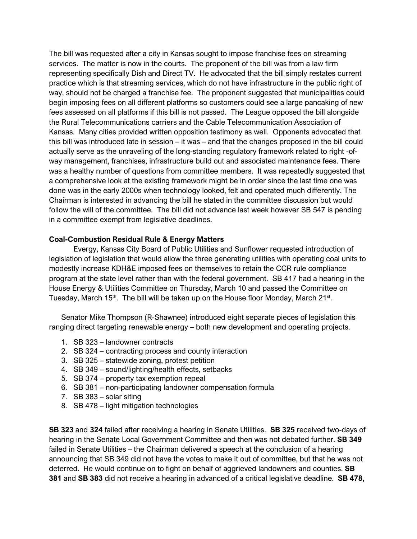The bill was requested after a city in Kansas sought to impose franchise fees on streaming services. The matter is now in the courts. The proponent of the bill was from a law firm representing specifically Dish and Direct TV. He advocated that the bill simply restates current practice which is that streaming services, which do not have infrastructure in the public right of way, should not be charged a franchise fee. The proponent suggested that municipalities could begin imposing fees on all different platforms so customers could see a large pancaking of new fees assessed on all platforms if this bill is not passed. The League opposed the bill alongside the Rural Telecommunications carriers and the Cable Telecommunication Association of Kansas. Many cities provided written opposition testimony as well. Opponents advocated that this bill was introduced late in session – it was – and that the changes proposed in the bill could actually serve as the unraveling of the long-standing regulatory framework related to right -ofway management, franchises, infrastructure build out and associated maintenance fees. There was a healthy number of questions from committee members. It was repeatedly suggested that a comprehensive look at the existing framework might be in order since the last time one was done was in the early 2000s when technology looked, felt and operated much differently. The Chairman is interested in advancing the bill he stated in the committee discussion but would follow the will of the committee. The bill did not advance last week however SB 547 is pending in a committee exempt from legislative deadlines.

# **Coal-Combustion Residual Rule & Energy Matters**

Evergy, Kansas City Board of Public Utilities and Sunflower requested introduction of legislation of legislation that would allow the three generating utilities with operating coal units to modestly increase KDH&E imposed fees on themselves to retain the CCR rule compliance program at the state level rather than with the federal government. SB 417 had a hearing in the House Energy & Utilities Committee on Thursday, March 10 and passed the Committee on Tuesday, March 15<sup>th</sup>. The bill will be taken up on the House floor Monday, March 21<sup>st</sup>.

Senator Mike Thompson (R-Shawnee) introduced eight separate pieces of legislation this ranging direct targeting renewable energy – both new development and operating projects.

- 1. SB 323 landowner contracts
- 2. SB 324 contracting process and county interaction
- 3. SB 325 statewide zoning, protest petition
- 4. SB 349 sound/lighting/health effects, setbacks
- 5. SB 374 property tax exemption repeal
- 6. SB 381 non-participating landowner compensation formula
- 7. SB 383 solar siting
- 8. SB 478 light mitigation technologies

**SB 323** and **324** failed after receiving a hearing in Senate Utilities. **SB 325** received two-days of hearing in the Senate Local Government Committee and then was not debated further. **SB 349** failed in Senate Utilities – the Chairman delivered a speech at the conclusion of a hearing announcing that SB 349 did not have the votes to make it out of committee, but that he was not deterred. He would continue on to fight on behalf of aggrieved landowners and counties. **SB 381** and **SB 383** did not receive a hearing in advanced of a critical legislative deadline. **SB 478,**